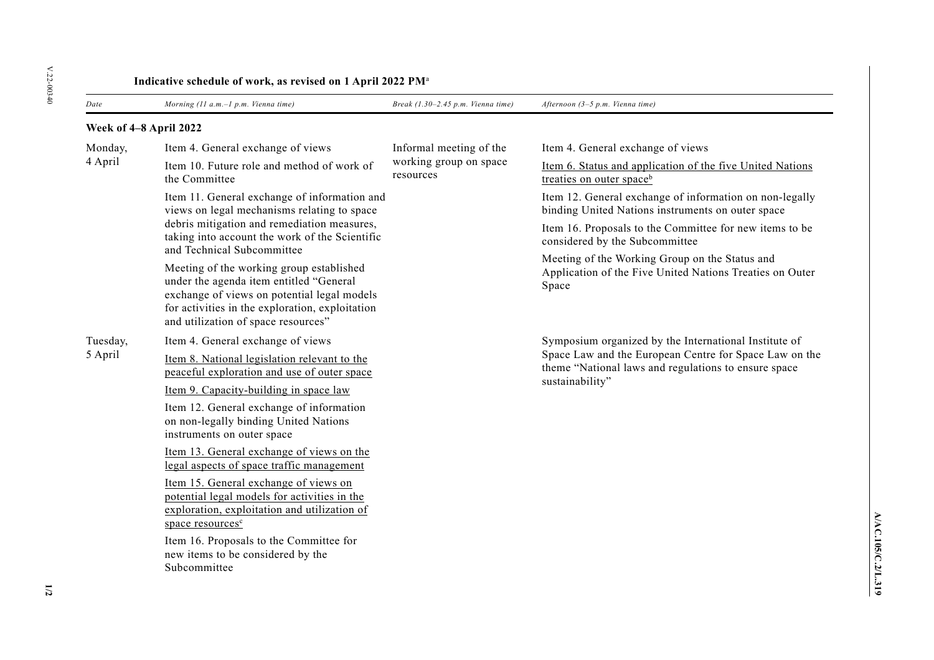| Indicative schedule of work, as revised on 1 April 2022 PM <sup>a</sup> |                                                                                                                                                                                                                              |                                                                |                                                                                                                                                                                            |  |  |
|-------------------------------------------------------------------------|------------------------------------------------------------------------------------------------------------------------------------------------------------------------------------------------------------------------------|----------------------------------------------------------------|--------------------------------------------------------------------------------------------------------------------------------------------------------------------------------------------|--|--|
| Date                                                                    | Morning (11 a.m.-1 p.m. Vienna time)                                                                                                                                                                                         | Break $(1.30-2.45 p.m.$ Vienna time)                           | Afternoon (3-5 p.m. Vienna time)                                                                                                                                                           |  |  |
| Week of 4-8 April 2022                                                  |                                                                                                                                                                                                                              |                                                                |                                                                                                                                                                                            |  |  |
| Monday,                                                                 | Item 4. General exchange of views                                                                                                                                                                                            | Informal meeting of the<br>working group on space<br>resources | Item 4. General exchange of views                                                                                                                                                          |  |  |
| 4 April                                                                 | Item 10. Future role and method of work of<br>the Committee                                                                                                                                                                  |                                                                | Item 6. Status and application of the five United Nations<br>treaties on outer space <sup>b</sup>                                                                                          |  |  |
|                                                                         | Item 11. General exchange of information and<br>views on legal mechanisms relating to space<br>debris mitigation and remediation measures,<br>taking into account the work of the Scientific<br>and Technical Subcommittee   |                                                                | Item 12. General exchange of information on non-legally<br>binding United Nations instruments on outer space                                                                               |  |  |
|                                                                         |                                                                                                                                                                                                                              |                                                                | Item 16. Proposals to the Committee for new items to be<br>considered by the Subcommittee                                                                                                  |  |  |
|                                                                         | Meeting of the working group established<br>under the agenda item entitled "General<br>exchange of views on potential legal models<br>for activities in the exploration, exploitation<br>and utilization of space resources" |                                                                | Meeting of the Working Group on the Status and<br>Application of the Five United Nations Treaties on Outer<br>Space                                                                        |  |  |
| Tuesday,                                                                | Item 4. General exchange of views                                                                                                                                                                                            |                                                                | Symposium organized by the International Institute of<br>Space Law and the European Centre for Space Law on the<br>theme "National laws and regulations to ensure space<br>sustainability" |  |  |
| 5 April                                                                 | Item 8. National legislation relevant to the<br>peaceful exploration and use of outer space                                                                                                                                  |                                                                |                                                                                                                                                                                            |  |  |
|                                                                         | Item 9. Capacity-building in space law                                                                                                                                                                                       |                                                                |                                                                                                                                                                                            |  |  |
|                                                                         | Item 12. General exchange of information<br>on non-legally binding United Nations<br>instruments on outer space                                                                                                              |                                                                |                                                                                                                                                                                            |  |  |
|                                                                         | Item 13. General exchange of views on the<br>legal aspects of space traffic management                                                                                                                                       |                                                                |                                                                                                                                                                                            |  |  |
|                                                                         | Item 15. General exchange of views on<br>potential legal models for activities in the<br>exploration, exploitation and utilization of<br>space resources <sup>c</sup>                                                        |                                                                |                                                                                                                                                                                            |  |  |
|                                                                         | Item 16. Proposals to the Committee for<br>new items to be considered by the<br>Subcommittee                                                                                                                                 |                                                                |                                                                                                                                                                                            |  |  |